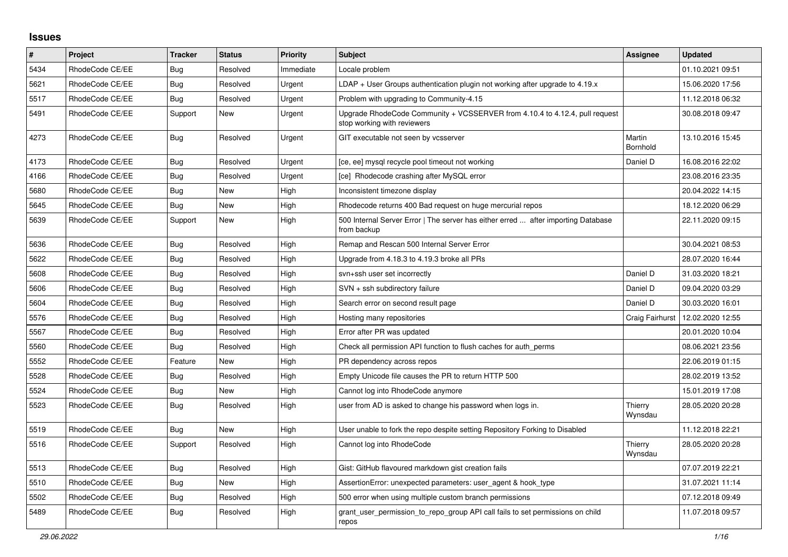## **Issues**

| #    | Project         | <b>Tracker</b> | <b>Status</b> | <b>Priority</b> | <b>Subject</b>                                                                                             | Assignee           | <b>Updated</b>   |
|------|-----------------|----------------|---------------|-----------------|------------------------------------------------------------------------------------------------------------|--------------------|------------------|
| 5434 | RhodeCode CE/EE | Bug            | Resolved      | Immediate       | Locale problem                                                                                             |                    | 01.10.2021 09:51 |
| 5621 | RhodeCode CE/EE | Bug            | Resolved      | Urgent          | $LDAP + User Groups$ authentication plugin not working after upgrade to 4.19. $x$                          |                    | 15.06.2020 17:56 |
| 5517 | RhodeCode CE/EE | Bug            | Resolved      | Urgent          | Problem with upgrading to Community-4.15                                                                   |                    | 11.12.2018 06:32 |
| 5491 | RhodeCode CE/EE | Support        | New           | Urgent          | Upgrade RhodeCode Community + VCSSERVER from 4.10.4 to 4.12.4, pull request<br>stop working with reviewers |                    | 30.08.2018 09:47 |
| 4273 | RhodeCode CE/EE | Bug            | Resolved      | Urgent          | GIT executable not seen by vcsserver                                                                       | Martin<br>Bornhold | 13.10.2016 15:45 |
| 4173 | RhodeCode CE/EE | Bug            | Resolved      | Urgent          | [ce, ee] mysql recycle pool timeout not working                                                            | Daniel D           | 16.08.2016 22:02 |
| 4166 | RhodeCode CE/EE | Bug            | Resolved      | Urgent          | [ce] Rhodecode crashing after MySQL error                                                                  |                    | 23.08.2016 23:35 |
| 5680 | RhodeCode CE/EE | Bug            | New           | High            | Inconsistent timezone display                                                                              |                    | 20.04.2022 14:15 |
| 5645 | RhodeCode CE/EE | Bug            | <b>New</b>    | High            | Rhodecode returns 400 Bad request on huge mercurial repos                                                  |                    | 18.12.2020 06:29 |
| 5639 | RhodeCode CE/EE | Support        | <b>New</b>    | High            | 500 Internal Server Error   The server has either erred  after importing Database<br>from backup           |                    | 22.11.2020 09:15 |
| 5636 | RhodeCode CE/EE | <b>Bug</b>     | Resolved      | High            | Remap and Rescan 500 Internal Server Error                                                                 |                    | 30.04.2021 08:53 |
| 5622 | RhodeCode CE/EE | Bug            | Resolved      | High            | Upgrade from 4.18.3 to 4.19.3 broke all PRs                                                                |                    | 28.07.2020 16:44 |
| 5608 | RhodeCode CE/EE | Bug            | Resolved      | High            | svn+ssh user set incorrectly                                                                               | Daniel D           | 31.03.2020 18:21 |
| 5606 | RhodeCode CE/EE | Bug            | Resolved      | High            | SVN + ssh subdirectory failure                                                                             | Daniel D           | 09.04.2020 03:29 |
| 5604 | RhodeCode CE/EE | Bug            | Resolved      | High            | Search error on second result page                                                                         | Daniel D           | 30.03.2020 16:01 |
| 5576 | RhodeCode CE/EE | Bug            | Resolved      | High            | Hosting many repositories                                                                                  | Craig Fairhurst    | 12.02.2020 12:55 |
| 5567 | RhodeCode CE/EE | Bug            | Resolved      | High            | Error after PR was updated                                                                                 |                    | 20.01.2020 10:04 |
| 5560 | RhodeCode CE/EE | Bug            | Resolved      | High            | Check all permission API function to flush caches for auth_perms                                           |                    | 08.06.2021 23:56 |
| 5552 | RhodeCode CE/EE | Feature        | <b>New</b>    | High            | PR dependency across repos                                                                                 |                    | 22.06.2019 01:15 |
| 5528 | RhodeCode CE/EE | Bug            | Resolved      | High            | Empty Unicode file causes the PR to return HTTP 500                                                        |                    | 28.02.2019 13:52 |
| 5524 | RhodeCode CE/EE | Bug            | New           | High            | Cannot log into RhodeCode anymore                                                                          |                    | 15.01.2019 17:08 |
| 5523 | RhodeCode CE/EE | <b>Bug</b>     | Resolved      | High            | user from AD is asked to change his password when logs in.                                                 | Thierry<br>Wynsdau | 28.05.2020 20:28 |
| 5519 | RhodeCode CE/EE | Bug            | New           | High            | User unable to fork the repo despite setting Repository Forking to Disabled                                |                    | 11.12.2018 22:21 |
| 5516 | RhodeCode CE/EE | Support        | Resolved      | High            | Cannot log into RhodeCode                                                                                  | Thierry<br>Wynsdau | 28.05.2020 20:28 |
| 5513 | RhodeCode CE/EE | Bug            | Resolved      | High            | Gist: GitHub flavoured markdown gist creation fails                                                        |                    | 07.07.2019 22:21 |
| 5510 | RhodeCode CE/EE | Bug            | <b>New</b>    | High            | AssertionError: unexpected parameters: user_agent & hook_type                                              |                    | 31.07.2021 11:14 |
| 5502 | RhodeCode CE/EE | Bug            | Resolved      | High            | 500 error when using multiple custom branch permissions                                                    |                    | 07.12.2018 09:49 |
| 5489 | RhodeCode CE/EE | Bug            | Resolved      | High            | grant user permission to repo group API call fails to set permissions on child<br>repos                    |                    | 11.07.2018 09:57 |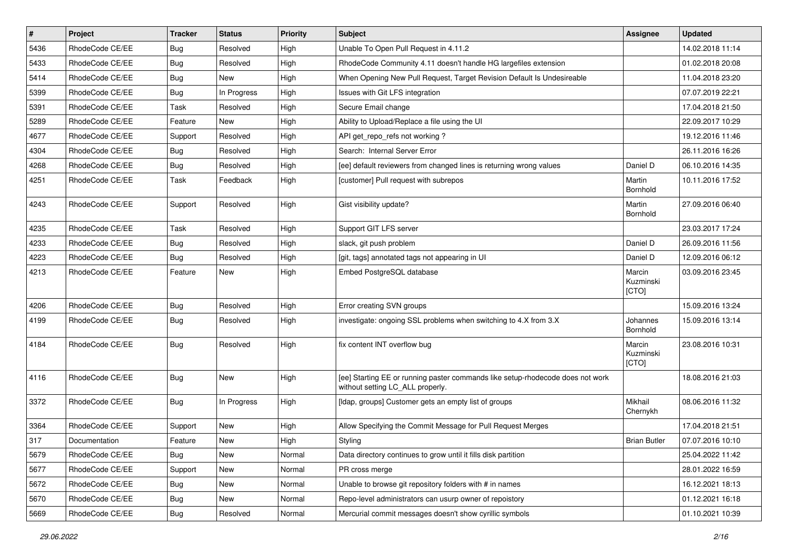| $\pmb{\#}$ | Project         | <b>Tracker</b> | <b>Status</b> | Priority | Subject                                                                                                            | <b>Assignee</b>              | <b>Updated</b>   |
|------------|-----------------|----------------|---------------|----------|--------------------------------------------------------------------------------------------------------------------|------------------------------|------------------|
| 5436       | RhodeCode CE/EE | Bug            | Resolved      | High     | Unable To Open Pull Request in 4.11.2                                                                              |                              | 14.02.2018 11:14 |
| 5433       | RhodeCode CE/EE | <b>Bug</b>     | Resolved      | High     | RhodeCode Community 4.11 doesn't handle HG largefiles extension                                                    |                              | 01.02.2018 20:08 |
| 5414       | RhodeCode CE/EE | Bug            | New           | High     | When Opening New Pull Request, Target Revision Default Is Undesireable                                             |                              | 11.04.2018 23:20 |
| 5399       | RhodeCode CE/EE | <b>Bug</b>     | In Progress   | High     | Issues with Git LFS integration                                                                                    |                              | 07.07.2019 22:21 |
| 5391       | RhodeCode CE/EE | Task           | Resolved      | High     | Secure Email change                                                                                                |                              | 17.04.2018 21:50 |
| 5289       | RhodeCode CE/EE | Feature        | <b>New</b>    | High     | Ability to Upload/Replace a file using the UI                                                                      |                              | 22.09.2017 10:29 |
| 4677       | RhodeCode CE/EE | Support        | Resolved      | High     | API get repo refs not working?                                                                                     |                              | 19.12.2016 11:46 |
| 4304       | RhodeCode CE/EE | Bug            | Resolved      | High     | Search: Internal Server Error                                                                                      |                              | 26.11.2016 16:26 |
| 4268       | RhodeCode CE/EE | Bug            | Resolved      | High     | [ee] default reviewers from changed lines is returning wrong values                                                | Daniel D                     | 06.10.2016 14:35 |
| 4251       | RhodeCode CE/EE | Task           | Feedback      | High     | [customer] Pull request with subrepos                                                                              | Martin<br>Bornhold           | 10.11.2016 17:52 |
| 4243       | RhodeCode CE/EE | Support        | Resolved      | High     | Gist visibility update?                                                                                            | Martin<br>Bornhold           | 27.09.2016 06:40 |
| 4235       | RhodeCode CE/EE | Task           | Resolved      | High     | Support GIT LFS server                                                                                             |                              | 23.03.2017 17:24 |
| 4233       | RhodeCode CE/EE | Bug            | Resolved      | High     | slack, git push problem                                                                                            | Daniel D                     | 26.09.2016 11:56 |
| 4223       | RhodeCode CE/EE | Bug            | Resolved      | High     | [git, tags] annotated tags not appearing in UI                                                                     | Daniel D                     | 12.09.2016 06:12 |
| 4213       | RhodeCode CE/EE | Feature        | New           | High     | Embed PostgreSQL database                                                                                          | Marcin<br>Kuzminski<br>[CTO] | 03.09.2016 23:45 |
| 4206       | RhodeCode CE/EE | Bug            | Resolved      | High     | Error creating SVN groups                                                                                          |                              | 15.09.2016 13:24 |
| 4199       | RhodeCode CE/EE | Bug            | Resolved      | High     | investigate: ongoing SSL problems when switching to 4.X from 3.X                                                   | Johannes<br>Bornhold         | 15.09.2016 13:14 |
| 4184       | RhodeCode CE/EE | Bug            | Resolved      | High     | fix content INT overflow bug                                                                                       | Marcin<br>Kuzminski<br>[CTO] | 23.08.2016 10:31 |
| 4116       | RhodeCode CE/EE | Bug            | New           | High     | [ee] Starting EE or running paster commands like setup-rhodecode does not work<br>without setting LC_ALL properly. |                              | 18.08.2016 21:03 |
| 3372       | RhodeCode CE/EE | Bug            | In Progress   | High     | [Idap, groups] Customer gets an empty list of groups                                                               | Mikhail<br>Chernykh          | 08.06.2016 11:32 |
| 3364       | RhodeCode CE/EE | Support        | New           | High     | Allow Specifying the Commit Message for Pull Request Merges                                                        |                              | 17.04.2018 21:51 |
| 317        | Documentation   | Feature        | New           | High     | Styling                                                                                                            | <b>Brian Butler</b>          | 07.07.2016 10:10 |
| 5679       | RhodeCode CE/EE | Bug            | New           | Normal   | Data directory continues to grow until it fills disk partition                                                     |                              | 25.04.2022 11:42 |
| 5677       | RhodeCode CE/EE | Support        | New           | Normal   | PR cross merge                                                                                                     |                              | 28.01.2022 16:59 |
| 5672       | RhodeCode CE/EE | <b>Bug</b>     | New           | Normal   | Unable to browse git repository folders with # in names                                                            |                              | 16.12.2021 18:13 |
| 5670       | RhodeCode CE/EE | Bug            | New           | Normal   | Repo-level administrators can usurp owner of repoistory                                                            |                              | 01.12.2021 16:18 |
| 5669       | RhodeCode CE/EE | <b>Bug</b>     | Resolved      | Normal   | Mercurial commit messages doesn't show cyrillic symbols                                                            |                              | 01.10.2021 10:39 |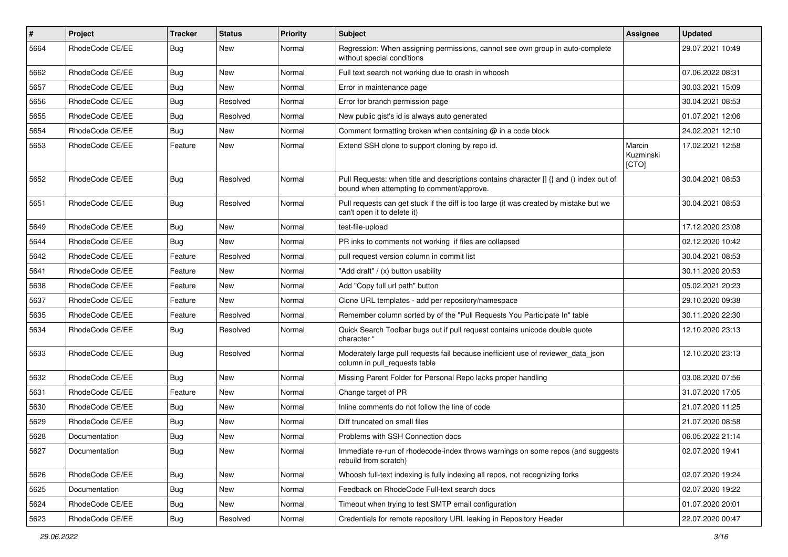| $\pmb{\#}$ | Project         | <b>Tracker</b> | <b>Status</b> | Priority | Subject                                                                                                                              | Assignee                     | <b>Updated</b>   |
|------------|-----------------|----------------|---------------|----------|--------------------------------------------------------------------------------------------------------------------------------------|------------------------------|------------------|
| 5664       | RhodeCode CE/EE | Bug            | New           | Normal   | Regression: When assigning permissions, cannot see own group in auto-complete<br>without special conditions                          |                              | 29.07.2021 10:49 |
| 5662       | RhodeCode CE/EE | Bug            | New           | Normal   | Full text search not working due to crash in whoosh                                                                                  |                              | 07.06.2022 08:31 |
| 5657       | RhodeCode CE/EE | <b>Bug</b>     | New           | Normal   | Error in maintenance page                                                                                                            |                              | 30.03.2021 15:09 |
| 5656       | RhodeCode CE/EE | Bug            | Resolved      | Normal   | Error for branch permission page                                                                                                     |                              | 30.04.2021 08:53 |
| 5655       | RhodeCode CE/EE | <b>Bug</b>     | Resolved      | Normal   | New public gist's id is always auto generated                                                                                        |                              | 01.07.2021 12:06 |
| 5654       | RhodeCode CE/EE | Bug            | New           | Normal   | Comment formatting broken when containing @ in a code block                                                                          |                              | 24.02.2021 12:10 |
| 5653       | RhodeCode CE/EE | Feature        | <b>New</b>    | Normal   | Extend SSH clone to support cloning by repo id.                                                                                      | Marcin<br>Kuzminski<br>[CTO] | 17.02.2021 12:58 |
| 5652       | RhodeCode CE/EE | Bug            | Resolved      | Normal   | Pull Requests: when title and descriptions contains character [] {} and () index out of<br>bound when attempting to comment/approve. |                              | 30.04.2021 08:53 |
| 5651       | RhodeCode CE/EE | <b>Bug</b>     | Resolved      | Normal   | Pull requests can get stuck if the diff is too large (it was created by mistake but we<br>can't open it to delete it)                |                              | 30.04.2021 08:53 |
| 5649       | RhodeCode CE/EE | Bug            | New           | Normal   | test-file-upload                                                                                                                     |                              | 17.12.2020 23:08 |
| 5644       | RhodeCode CE/EE | Bug            | New           | Normal   | PR inks to comments not working if files are collapsed                                                                               |                              | 02.12.2020 10:42 |
| 5642       | RhodeCode CE/EE | Feature        | Resolved      | Normal   | pull request version column in commit list                                                                                           |                              | 30.04.2021 08:53 |
| 5641       | RhodeCode CE/EE | Feature        | New           | Normal   | "Add draft" / (x) button usability                                                                                                   |                              | 30.11.2020 20:53 |
| 5638       | RhodeCode CE/EE | Feature        | New           | Normal   | Add "Copy full url path" button                                                                                                      |                              | 05.02.2021 20:23 |
| 5637       | RhodeCode CE/EE | Feature        | <b>New</b>    | Normal   | Clone URL templates - add per repository/namespace                                                                                   |                              | 29.10.2020 09:38 |
| 5635       | RhodeCode CE/EE | Feature        | Resolved      | Normal   | Remember column sorted by of the "Pull Requests You Participate In" table                                                            |                              | 30.11.2020 22:30 |
| 5634       | RhodeCode CE/EE | Bug            | Resolved      | Normal   | Quick Search Toolbar bugs out if pull request contains unicode double quote<br>character "                                           |                              | 12.10.2020 23:13 |
| 5633       | RhodeCode CE/EE | <b>Bug</b>     | Resolved      | Normal   | Moderately large pull requests fail because inefficient use of reviewer_data_json<br>column in pull requests table                   |                              | 12.10.2020 23:13 |
| 5632       | RhodeCode CE/EE | Bug            | <b>New</b>    | Normal   | Missing Parent Folder for Personal Repo lacks proper handling                                                                        |                              | 03.08.2020 07:56 |
| 5631       | RhodeCode CE/EE | Feature        | New           | Normal   | Change target of PR                                                                                                                  |                              | 31.07.2020 17:05 |
| 5630       | RhodeCode CE/EE | Bug            | <b>New</b>    | Normal   | Inline comments do not follow the line of code                                                                                       |                              | 21.07.2020 11:25 |
| 5629       | RhodeCode CE/EE | Bug            | <b>New</b>    | Normal   | Diff truncated on small files                                                                                                        |                              | 21.07.2020 08:58 |
| 5628       | Documentation   | <b>Bug</b>     | New           | Normal   | Problems with SSH Connection docs                                                                                                    |                              | 06.05.2022 21:14 |
| 5627       | Documentation   | <b>Bug</b>     | New           | Normal   | Immediate re-run of rhodecode-index throws warnings on some repos (and suggests<br>rebuild from scratch)                             |                              | 02.07.2020 19:41 |
| 5626       | RhodeCode CE/EE | Bug            | New           | Normal   | Whoosh full-text indexing is fully indexing all repos, not recognizing forks                                                         |                              | 02.07.2020 19:24 |
| 5625       | Documentation   | Bug            | New           | Normal   | Feedback on RhodeCode Full-text search docs                                                                                          |                              | 02.07.2020 19:22 |
| 5624       | RhodeCode CE/EE | <b>Bug</b>     | New           | Normal   | Timeout when trying to test SMTP email configuration                                                                                 |                              | 01.07.2020 20:01 |
| 5623       | RhodeCode CE/EE | <b>Bug</b>     | Resolved      | Normal   | Credentials for remote repository URL leaking in Repository Header                                                                   |                              | 22.07.2020 00:47 |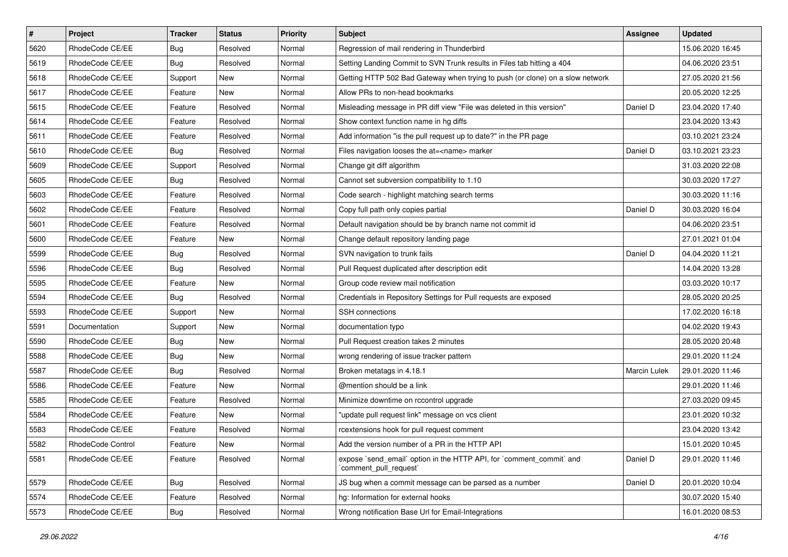| $\vert$ # | Project           | Tracker    | <b>Status</b> | <b>Priority</b> | <b>Subject</b>                                                                                 | <b>Assignee</b> | <b>Updated</b>   |
|-----------|-------------------|------------|---------------|-----------------|------------------------------------------------------------------------------------------------|-----------------|------------------|
| 5620      | RhodeCode CE/EE   | <b>Bug</b> | Resolved      | Normal          | Regression of mail rendering in Thunderbird                                                    |                 | 15.06.2020 16:45 |
| 5619      | RhodeCode CE/EE   | Bug        | Resolved      | Normal          | Setting Landing Commit to SVN Trunk results in Files tab hitting a 404                         |                 | 04.06.2020 23:51 |
| 5618      | RhodeCode CE/EE   | Support    | New           | Normal          | Getting HTTP 502 Bad Gateway when trying to push (or clone) on a slow network                  |                 | 27.05.2020 21:56 |
| 5617      | RhodeCode CE/EE   | Feature    | New           | Normal          | Allow PRs to non-head bookmarks                                                                |                 | 20.05.2020 12:25 |
| 5615      | RhodeCode CE/EE   | Feature    | Resolved      | Normal          | Misleading message in PR diff view "File was deleted in this version"                          | Daniel D        | 23.04.2020 17:40 |
| 5614      | RhodeCode CE/EE   | Feature    | Resolved      | Normal          | Show context function name in hg diffs                                                         |                 | 23.04.2020 13:43 |
| 5611      | RhodeCode CE/EE   | Feature    | Resolved      | Normal          | Add information "is the pull request up to date?" in the PR page                               |                 | 03.10.2021 23:24 |
| 5610      | RhodeCode CE/EE   | Bug        | Resolved      | Normal          | Files navigation looses the at= <name> marker</name>                                           | Daniel D        | 03.10.2021 23:23 |
| 5609      | RhodeCode CE/EE   | Support    | Resolved      | Normal          | Change git diff algorithm                                                                      |                 | 31.03.2020 22:08 |
| 5605      | RhodeCode CE/EE   | <b>Bug</b> | Resolved      | Normal          | Cannot set subversion compatibility to 1.10                                                    |                 | 30.03.2020 17:27 |
| 5603      | RhodeCode CE/EE   | Feature    | Resolved      | Normal          | Code search - highlight matching search terms                                                  |                 | 30.03.2020 11:16 |
| 5602      | RhodeCode CE/EE   | Feature    | Resolved      | Normal          | Copy full path only copies partial                                                             | Daniel D        | 30.03.2020 16:04 |
| 5601      | RhodeCode CE/EE   | Feature    | Resolved      | Normal          | Default navigation should be by branch name not commit id                                      |                 | 04.06.2020 23:51 |
| 5600      | RhodeCode CE/EE   | Feature    | New           | Normal          | Change default repository landing page                                                         |                 | 27.01.2021 01:04 |
| 5599      | RhodeCode CE/EE   | <b>Bug</b> | Resolved      | Normal          | SVN navigation to trunk fails                                                                  | Daniel D        | 04.04.2020 11:21 |
| 5596      | RhodeCode CE/EE   | Bug        | Resolved      | Normal          | Pull Request duplicated after description edit                                                 |                 | 14.04.2020 13:28 |
| 5595      | RhodeCode CE/EE   | Feature    | New           | Normal          | Group code review mail notification                                                            |                 | 03.03.2020 10:17 |
| 5594      | RhodeCode CE/EE   | <b>Bug</b> | Resolved      | Normal          | Credentials in Repository Settings for Pull requests are exposed                               |                 | 28.05.2020 20:25 |
| 5593      | RhodeCode CE/EE   | Support    | New           | Normal          | <b>SSH</b> connections                                                                         |                 | 17.02.2020 16:18 |
| 5591      | Documentation     | Support    | New           | Normal          | documentation typo                                                                             |                 | 04.02.2020 19:43 |
| 5590      | RhodeCode CE/EE   | <b>Bug</b> | New           | Normal          | Pull Request creation takes 2 minutes                                                          |                 | 28.05.2020 20:48 |
| 5588      | RhodeCode CE/EE   | <b>Bug</b> | New           | Normal          | wrong rendering of issue tracker pattern                                                       |                 | 29.01.2020 11:24 |
| 5587      | RhodeCode CE/EE   | Bug        | Resolved      | Normal          | Broken metatags in 4.18.1                                                                      | Marcin Lulek    | 29.01.2020 11:46 |
| 5586      | RhodeCode CE/EE   | Feature    | <b>New</b>    | Normal          | @mention should be a link                                                                      |                 | 29.01.2020 11:46 |
| 5585      | RhodeCode CE/EE   | Feature    | Resolved      | Normal          | Minimize downtime on rccontrol upgrade                                                         |                 | 27.03.2020 09:45 |
| 5584      | RhodeCode CE/EE   | Feature    | New           | Normal          | "update pull request link" message on vcs client                                               |                 | 23.01.2020 10:32 |
| 5583      | RhodeCode CE/EE   | Feature    | Resolved      | Normal          | rcextensions hook for pull request comment                                                     |                 | 23.04.2020 13:42 |
| 5582      | RhodeCode Control | Feature    | New           | Normal          | Add the version number of a PR in the HTTP API                                                 |                 | 15.01.2020 10:45 |
| 5581      | RhodeCode CE/EE   | Feature    | Resolved      | Normal          | expose `send_email` option in the HTTP API, for `comment_commit` and<br>`comment_pull_request` | Daniel D        | 29.01.2020 11:46 |
| 5579      | RhodeCode CE/EE   | Bug        | Resolved      | Normal          | JS bug when a commit message can be parsed as a number                                         | Daniel D        | 20.01.2020 10:04 |
| 5574      | RhodeCode CE/EE   | Feature    | Resolved      | Normal          | ha: Information for external hooks                                                             |                 | 30.07.2020 15:40 |
| 5573      | RhodeCode CE/EE   | Bug        | Resolved      | Normal          | Wrong notification Base Url for Email-Integrations                                             |                 | 16.01.2020 08:53 |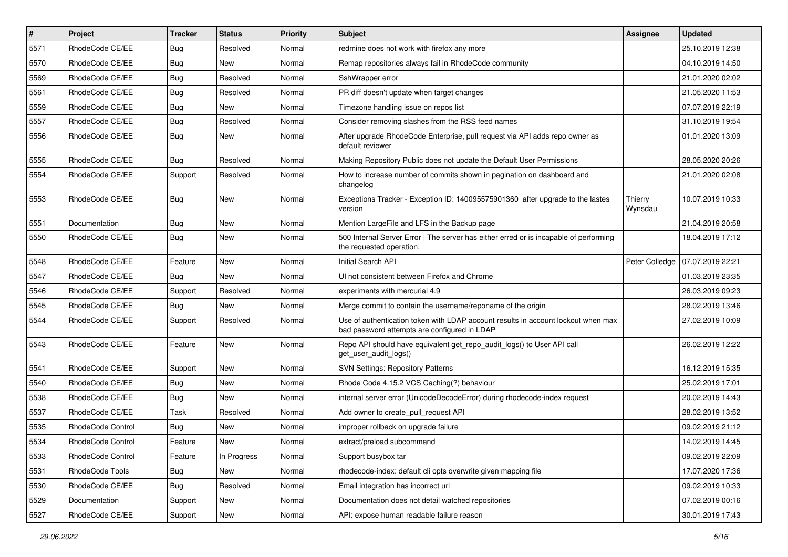| $\sharp$ | Project           | <b>Tracker</b> | <b>Status</b> | <b>Priority</b> | <b>Subject</b>                                                                                                                    | <b>Assignee</b>    | <b>Updated</b>   |
|----------|-------------------|----------------|---------------|-----------------|-----------------------------------------------------------------------------------------------------------------------------------|--------------------|------------------|
| 5571     | RhodeCode CE/EE   | <b>Bug</b>     | Resolved      | Normal          | redmine does not work with firefox any more                                                                                       |                    | 25.10.2019 12:38 |
| 5570     | RhodeCode CE/EE   | Bug            | New           | Normal          | Remap repositories always fail in RhodeCode community                                                                             |                    | 04.10.2019 14:50 |
| 5569     | RhodeCode CE/EE   | <b>Bug</b>     | Resolved      | Normal          | SshWrapper error                                                                                                                  |                    | 21.01.2020 02:02 |
| 5561     | RhodeCode CE/EE   | Bug            | Resolved      | Normal          | PR diff doesn't update when target changes                                                                                        |                    | 21.05.2020 11:53 |
| 5559     | RhodeCode CE/EE   | Bug            | <b>New</b>    | Normal          | Timezone handling issue on repos list                                                                                             |                    | 07.07.2019 22:19 |
| 5557     | RhodeCode CE/EE   | Bug            | Resolved      | Normal          | Consider removing slashes from the RSS feed names                                                                                 |                    | 31.10.2019 19:54 |
| 5556     | RhodeCode CE/EE   | <b>Bug</b>     | New           | Normal          | After upgrade RhodeCode Enterprise, pull request via API adds repo owner as<br>default reviewer                                   |                    | 01.01.2020 13:09 |
| 5555     | RhodeCode CE/EE   | Bug            | Resolved      | Normal          | Making Repository Public does not update the Default User Permissions                                                             |                    | 28.05.2020 20:26 |
| 5554     | RhodeCode CE/EE   | Support        | Resolved      | Normal          | How to increase number of commits shown in pagination on dashboard and<br>changelog                                               |                    | 21.01.2020 02:08 |
| 5553     | RhodeCode CE/EE   | Bug            | New           | Normal          | Exceptions Tracker - Exception ID: 140095575901360 after upgrade to the lastes<br>version                                         | Thierry<br>Wynsdau | 10.07.2019 10:33 |
| 5551     | Documentation     | Bug            | New           | Normal          | Mention LargeFile and LFS in the Backup page                                                                                      |                    | 21.04.2019 20:58 |
| 5550     | RhodeCode CE/EE   | Bug            | New           | Normal          | 500 Internal Server Error   The server has either erred or is incapable of performing<br>the requested operation.                 |                    | 18.04.2019 17:12 |
| 5548     | RhodeCode CE/EE   | Feature        | <b>New</b>    | Normal          | Initial Search API                                                                                                                | Peter Colledge     | 07.07.2019 22:21 |
| 5547     | RhodeCode CE/EE   | Bug            | <b>New</b>    | Normal          | UI not consistent between Firefox and Chrome                                                                                      |                    | 01.03.2019 23:35 |
| 5546     | RhodeCode CE/EE   | Support        | Resolved      | Normal          | experiments with mercurial 4.9                                                                                                    |                    | 26.03.2019 09:23 |
| 5545     | RhodeCode CE/EE   | Bug            | New           | Normal          | Merge commit to contain the username/reponame of the origin                                                                       |                    | 28.02.2019 13:46 |
| 5544     | RhodeCode CE/EE   | Support        | Resolved      | Normal          | Use of authentication token with LDAP account results in account lockout when max<br>bad password attempts are configured in LDAP |                    | 27.02.2019 10:09 |
| 5543     | RhodeCode CE/EE   | Feature        | New           | Normal          | Repo API should have equivalent get_repo_audit_logs() to User API call<br>get_user_audit_logs()                                   |                    | 26.02.2019 12:22 |
| 5541     | RhodeCode CE/EE   | Support        | New           | Normal          | <b>SVN Settings: Repository Patterns</b>                                                                                          |                    | 16.12.2019 15:35 |
| 5540     | RhodeCode CE/EE   | <b>Bug</b>     | New           | Normal          | Rhode Code 4.15.2 VCS Caching(?) behaviour                                                                                        |                    | 25.02.2019 17:01 |
| 5538     | RhodeCode CE/EE   | Bug            | New           | Normal          | internal server error (UnicodeDecodeError) during rhodecode-index request                                                         |                    | 20.02.2019 14:43 |
| 5537     | RhodeCode CE/EE   | Task           | Resolved      | Normal          | Add owner to create pull request API                                                                                              |                    | 28.02.2019 13:52 |
| 5535     | RhodeCode Control | <b>Bug</b>     | New           | Normal          | improper rollback on upgrade failure                                                                                              |                    | 09.02.2019 21:12 |
| 5534     | RhodeCode Control | Feature        | New           | Normal          | extract/preload subcommand                                                                                                        |                    | 14.02.2019 14:45 |
| 5533     | RhodeCode Control | Feature        | In Progress   | Normal          | Support busybox tar                                                                                                               |                    | 09.02.2019 22:09 |
| 5531     | RhodeCode Tools   | <b>Bug</b>     | New           | Normal          | rhodecode-index: default cli opts overwrite given mapping file                                                                    |                    | 17.07.2020 17:36 |
| 5530     | RhodeCode CE/EE   | Bug            | Resolved      | Normal          | Email integration has incorrect url                                                                                               |                    | 09.02.2019 10:33 |
| 5529     | Documentation     | Support        | <b>New</b>    | Normal          | Documentation does not detail watched repositories                                                                                |                    | 07.02.2019 00:16 |
| 5527     | RhodeCode CE/EE   | Support        | New           | Normal          | API: expose human readable failure reason                                                                                         |                    | 30.01.2019 17:43 |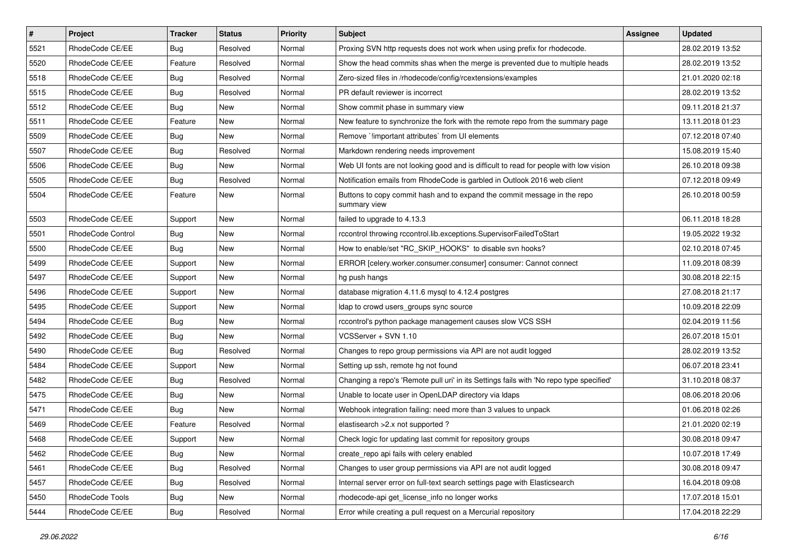| $\vert$ # | Project           | <b>Tracker</b> | <b>Status</b> | <b>Priority</b> | Subject                                                                                  | <b>Assignee</b> | <b>Updated</b>   |
|-----------|-------------------|----------------|---------------|-----------------|------------------------------------------------------------------------------------------|-----------------|------------------|
| 5521      | RhodeCode CE/EE   | <b>Bug</b>     | Resolved      | Normal          | Proxing SVN http requests does not work when using prefix for rhodecode.                 |                 | 28.02.2019 13:52 |
| 5520      | RhodeCode CE/EE   | Feature        | Resolved      | Normal          | Show the head commits shas when the merge is prevented due to multiple heads             |                 | 28.02.2019 13:52 |
| 5518      | RhodeCode CE/EE   | Bug            | Resolved      | Normal          | Zero-sized files in /rhodecode/config/rcextensions/examples                              |                 | 21.01.2020 02:18 |
| 5515      | RhodeCode CE/EE   | <b>Bug</b>     | Resolved      | Normal          | PR default reviewer is incorrect                                                         |                 | 28.02.2019 13:52 |
| 5512      | RhodeCode CE/EE   | Bug            | New           | Normal          | Show commit phase in summary view                                                        |                 | 09.11.2018 21:37 |
| 5511      | RhodeCode CE/EE   | Feature        | New           | Normal          | New feature to synchronize the fork with the remote repo from the summary page           |                 | 13.11.2018 01:23 |
| 5509      | RhodeCode CE/EE   | <b>Bug</b>     | New           | Normal          | Remove `!important attributes` from UI elements                                          |                 | 07.12.2018 07:40 |
| 5507      | RhodeCode CE/EE   | Bug            | Resolved      | Normal          | Markdown rendering needs improvement                                                     |                 | 15.08.2019 15:40 |
| 5506      | RhodeCode CE/EE   | <b>Bug</b>     | New           | Normal          | Web UI fonts are not looking good and is difficult to read for people with low vision    |                 | 26.10.2018 09:38 |
| 5505      | RhodeCode CE/EE   | <b>Bug</b>     | Resolved      | Normal          | Notification emails from RhodeCode is garbled in Outlook 2016 web client                 |                 | 07.12.2018 09:49 |
| 5504      | RhodeCode CE/EE   | Feature        | New           | Normal          | Buttons to copy commit hash and to expand the commit message in the repo<br>summary view |                 | 26.10.2018 00:59 |
| 5503      | RhodeCode CE/EE   | Support        | New           | Normal          | failed to upgrade to 4.13.3                                                              |                 | 06.11.2018 18:28 |
| 5501      | RhodeCode Control | Bug            | New           | Normal          | rccontrol throwing rccontrol.lib.exceptions.SupervisorFailedToStart                      |                 | 19.05.2022 19:32 |
| 5500      | RhodeCode CE/EE   | Bug            | New           | Normal          | How to enable/set "RC_SKIP_HOOKS" to disable svn hooks?                                  |                 | 02.10.2018 07:45 |
| 5499      | RhodeCode CE/EE   | Support        | New           | Normal          | ERROR [celery.worker.consumer.consumer] consumer: Cannot connect                         |                 | 11.09.2018 08:39 |
| 5497      | RhodeCode CE/EE   | Support        | New           | Normal          | hg push hangs                                                                            |                 | 30.08.2018 22:15 |
| 5496      | RhodeCode CE/EE   | Support        | New           | Normal          | database migration 4.11.6 mysql to 4.12.4 postgres                                       |                 | 27.08.2018 21:17 |
| 5495      | RhodeCode CE/EE   | Support        | New           | Normal          | Idap to crowd users_groups sync source                                                   |                 | 10.09.2018 22:09 |
| 5494      | RhodeCode CE/EE   | <b>Bug</b>     | New           | Normal          | rccontrol's python package management causes slow VCS SSH                                |                 | 02.04.2019 11:56 |
| 5492      | RhodeCode CE/EE   | Bug            | <b>New</b>    | Normal          | VCSServer + SVN 1.10                                                                     |                 | 26.07.2018 15:01 |
| 5490      | RhodeCode CE/EE   | <b>Bug</b>     | Resolved      | Normal          | Changes to repo group permissions via API are not audit logged                           |                 | 28.02.2019 13:52 |
| 5484      | RhodeCode CE/EE   | Support        | <b>New</b>    | Normal          | Setting up ssh, remote hg not found                                                      |                 | 06.07.2018 23:41 |
| 5482      | RhodeCode CE/EE   | Bug            | Resolved      | Normal          | Changing a repo's 'Remote pull uri' in its Settings fails with 'No repo type specified'  |                 | 31.10.2018 08:37 |
| 5475      | RhodeCode CE/EE   | <b>Bug</b>     | New           | Normal          | Unable to locate user in OpenLDAP directory via Idaps                                    |                 | 08.06.2018 20:06 |
| 5471      | RhodeCode CE/EE   | <b>Bug</b>     | New           | Normal          | Webhook integration failing: need more than 3 values to unpack                           |                 | 01.06.2018 02:26 |
| 5469      | RhodeCode CE/EE   | Feature        | Resolved      | Normal          | elastisearch > 2.x not supported ?                                                       |                 | 21.01.2020 02:19 |
| 5468      | RhodeCode CE/EE   | Support        | New           | Normal          | Check logic for updating last commit for repository groups                               |                 | 30.08.2018 09:47 |
| 5462      | RhodeCode CE/EE   | Bug            | New           | Normal          | create repo api fails with celery enabled                                                |                 | 10.07.2018 17:49 |
| 5461      | RhodeCode CE/EE   | Bug            | Resolved      | Normal          | Changes to user group permissions via API are not audit logged                           |                 | 30.08.2018 09:47 |
| 5457      | RhodeCode CE/EE   | <b>Bug</b>     | Resolved      | Normal          | Internal server error on full-text search settings page with Elasticsearch               |                 | 16.04.2018 09:08 |
| 5450      | RhodeCode Tools   | Bug            | New           | Normal          | rhodecode-api get license info no longer works                                           |                 | 17.07.2018 15:01 |
| 5444      | RhodeCode CE/EE   | <b>Bug</b>     | Resolved      | Normal          | Error while creating a pull request on a Mercurial repository                            |                 | 17.04.2018 22:29 |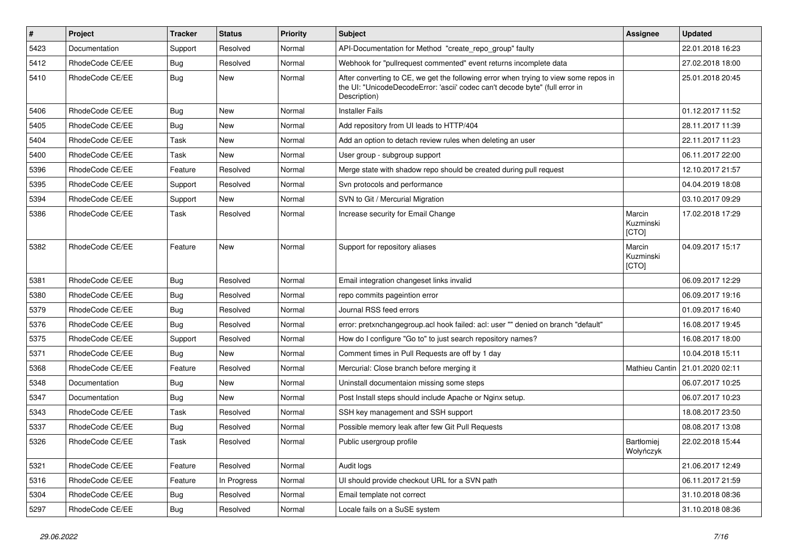| $\pmb{\#}$ | <b>Project</b>  | <b>Tracker</b> | <b>Status</b> | Priority | Subject                                                                                                                                                                              | Assignee                       | <b>Updated</b>                    |
|------------|-----------------|----------------|---------------|----------|--------------------------------------------------------------------------------------------------------------------------------------------------------------------------------------|--------------------------------|-----------------------------------|
| 5423       | Documentation   | Support        | Resolved      | Normal   | API-Documentation for Method "create_repo_group" faulty                                                                                                                              |                                | 22.01.2018 16:23                  |
| 5412       | RhodeCode CE/EE | Bug            | Resolved      | Normal   | Webhook for "pullrequest commented" event returns incomplete data                                                                                                                    |                                | 27.02.2018 18:00                  |
| 5410       | RhodeCode CE/EE | Bug            | <b>New</b>    | Normal   | After converting to CE, we get the following error when trying to view some repos in<br>the UI: "UnicodeDecodeError: 'ascii' codec can't decode byte" (full error in<br>Description) |                                | 25.01.2018 20:45                  |
| 5406       | RhodeCode CE/EE | Bug            | New           | Normal   | <b>Installer Fails</b>                                                                                                                                                               |                                | 01.12.2017 11:52                  |
| 5405       | RhodeCode CE/EE | Bug            | New           | Normal   | Add repository from UI leads to HTTP/404                                                                                                                                             |                                | 28.11.2017 11:39                  |
| 5404       | RhodeCode CE/EE | Task           | New           | Normal   | Add an option to detach review rules when deleting an user                                                                                                                           |                                | 22.11.2017 11:23                  |
| 5400       | RhodeCode CE/EE | Task           | <b>New</b>    | Normal   | User group - subgroup support                                                                                                                                                        |                                | 06.11.2017 22:00                  |
| 5396       | RhodeCode CE/EE | Feature        | Resolved      | Normal   | Merge state with shadow repo should be created during pull request                                                                                                                   |                                | 12.10.2017 21:57                  |
| 5395       | RhodeCode CE/EE | Support        | Resolved      | Normal   | Svn protocols and performance                                                                                                                                                        |                                | 04.04.2019 18:08                  |
| 5394       | RhodeCode CE/EE | Support        | New           | Normal   | SVN to Git / Mercurial Migration                                                                                                                                                     |                                | 03.10.2017 09:29                  |
| 5386       | RhodeCode CE/EE | Task           | Resolved      | Normal   | Increase security for Email Change                                                                                                                                                   | Marcin<br>Kuzminski<br>[CTO]   | 17.02.2018 17:29                  |
| 5382       | RhodeCode CE/EE | Feature        | <b>New</b>    | Normal   | Support for repository aliases                                                                                                                                                       | Marcin<br>Kuzminski<br>[CTO]   | 04.09.2017 15:17                  |
| 5381       | RhodeCode CE/EE | Bug            | Resolved      | Normal   | Email integration changeset links invalid                                                                                                                                            |                                | 06.09.2017 12:29                  |
| 5380       | RhodeCode CE/EE | Bug            | Resolved      | Normal   | repo commits pageintion error                                                                                                                                                        |                                | 06.09.2017 19:16                  |
| 5379       | RhodeCode CE/EE | Bug            | Resolved      | Normal   | Journal RSS feed errors                                                                                                                                                              |                                | 01.09.2017 16:40                  |
| 5376       | RhodeCode CE/EE | Bug            | Resolved      | Normal   | error: pretxnchangegroup.acl hook failed: acl: user "" denied on branch "default"                                                                                                    |                                | 16.08.2017 19:45                  |
| 5375       | RhodeCode CE/EE | Support        | Resolved      | Normal   | How do I configure "Go to" to just search repository names?                                                                                                                          |                                | 16.08.2017 18:00                  |
| 5371       | RhodeCode CE/EE | <b>Bug</b>     | <b>New</b>    | Normal   | Comment times in Pull Requests are off by 1 day                                                                                                                                      |                                | 10.04.2018 15:11                  |
| 5368       | RhodeCode CE/EE | Feature        | Resolved      | Normal   | Mercurial: Close branch before merging it                                                                                                                                            |                                | Mathieu Cantin   21.01.2020 02:11 |
| 5348       | Documentation   | Bug            | <b>New</b>    | Normal   | Uninstall documentaion missing some steps                                                                                                                                            |                                | 06.07.2017 10:25                  |
| 5347       | Documentation   | Bug            | New           | Normal   | Post Install steps should include Apache or Nginx setup.                                                                                                                             |                                | 06.07.2017 10:23                  |
| 5343       | RhodeCode CE/EE | Task           | Resolved      | Normal   | SSH key management and SSH support                                                                                                                                                   |                                | 18.08.2017 23:50                  |
| 5337       | RhodeCode CE/EE | Bug            | Resolved      | Normal   | Possible memory leak after few Git Pull Requests                                                                                                                                     |                                | 08.08.2017 13:08                  |
| 5326       | RhodeCode CE/EE | Task           | Resolved      | Normal   | Public usergroup profile                                                                                                                                                             | <b>Bartłomiei</b><br>Wołyńczyk | 22.02.2018 15:44                  |
| 5321       | RhodeCode CE/EE | Feature        | Resolved      | Normal   | Audit logs                                                                                                                                                                           |                                | 21.06.2017 12:49                  |
| 5316       | RhodeCode CE/EE | Feature        | In Progress   | Normal   | UI should provide checkout URL for a SVN path                                                                                                                                        |                                | 06.11.2017 21:59                  |
| 5304       | RhodeCode CE/EE | <b>Bug</b>     | Resolved      | Normal   | Email template not correct                                                                                                                                                           |                                | 31.10.2018 08:36                  |
| 5297       | RhodeCode CE/EE | Bug            | Resolved      | Normal   | Locale fails on a SuSE system                                                                                                                                                        |                                | 31.10.2018 08:36                  |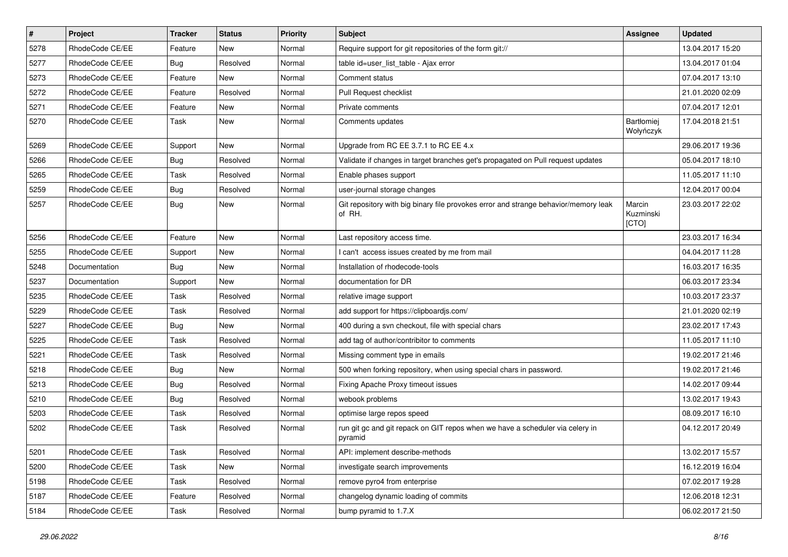| $\pmb{\#}$ | Project         | <b>Tracker</b> | <b>Status</b> | <b>Priority</b> | Subject                                                                                       | <b>Assignee</b>              | <b>Updated</b>   |
|------------|-----------------|----------------|---------------|-----------------|-----------------------------------------------------------------------------------------------|------------------------------|------------------|
| 5278       | RhodeCode CE/EE | Feature        | New           | Normal          | Require support for git repositories of the form git://                                       |                              | 13.04.2017 15:20 |
| 5277       | RhodeCode CE/EE | Bug            | Resolved      | Normal          | table id=user_list_table - Ajax error                                                         |                              | 13.04.2017 01:04 |
| 5273       | RhodeCode CE/EE | Feature        | <b>New</b>    | Normal          | Comment status                                                                                |                              | 07.04.2017 13:10 |
| 5272       | RhodeCode CE/EE | Feature        | Resolved      | Normal          | Pull Request checklist                                                                        |                              | 21.01.2020 02:09 |
| 5271       | RhodeCode CE/EE | Feature        | <b>New</b>    | Normal          | Private comments                                                                              |                              | 07.04.2017 12:01 |
| 5270       | RhodeCode CE/EE | Task           | New           | Normal          | Comments updates                                                                              | Bartłomiej<br>Wołyńczyk      | 17.04.2018 21:51 |
| 5269       | RhodeCode CE/EE | Support        | <b>New</b>    | Normal          | Upgrade from RC EE 3.7.1 to RC EE 4.x                                                         |                              | 29.06.2017 19:36 |
| 5266       | RhodeCode CE/EE | Bug            | Resolved      | Normal          | Validate if changes in target branches get's propagated on Pull request updates               |                              | 05.04.2017 18:10 |
| 5265       | RhodeCode CE/EE | Task           | Resolved      | Normal          | Enable phases support                                                                         |                              | 11.05.2017 11:10 |
| 5259       | RhodeCode CE/EE | Bug            | Resolved      | Normal          | user-journal storage changes                                                                  |                              | 12.04.2017 00:04 |
| 5257       | RhodeCode CE/EE | Bug            | New           | Normal          | Git repository with big binary file provokes error and strange behavior/memory leak<br>of RH. | Marcin<br>Kuzminski<br>[CTO] | 23.03.2017 22:02 |
| 5256       | RhodeCode CE/EE | Feature        | <b>New</b>    | Normal          | Last repository access time.                                                                  |                              | 23.03.2017 16:34 |
| 5255       | RhodeCode CE/EE | Support        | New           | Normal          | I can't access issues created by me from mail                                                 |                              | 04.04.2017 11:28 |
| 5248       | Documentation   | Bug            | <b>New</b>    | Normal          | Installation of rhodecode-tools                                                               |                              | 16.03.2017 16:35 |
| 5237       | Documentation   | Support        | <b>New</b>    | Normal          | documentation for DR                                                                          |                              | 06.03.2017 23:34 |
| 5235       | RhodeCode CE/EE | Task           | Resolved      | Normal          | relative image support                                                                        |                              | 10.03.2017 23:37 |
| 5229       | RhodeCode CE/EE | Task           | Resolved      | Normal          | add support for https://clipboardjs.com/                                                      |                              | 21.01.2020 02:19 |
| 5227       | RhodeCode CE/EE | Bug            | New           | Normal          | 400 during a svn checkout, file with special chars                                            |                              | 23.02.2017 17:43 |
| 5225       | RhodeCode CE/EE | Task           | Resolved      | Normal          | add tag of author/contribitor to comments                                                     |                              | 11.05.2017 11:10 |
| 5221       | RhodeCode CE/EE | Task           | Resolved      | Normal          | Missing comment type in emails                                                                |                              | 19.02.2017 21:46 |
| 5218       | RhodeCode CE/EE | Bug            | New           | Normal          | 500 when forking repository, when using special chars in password.                            |                              | 19.02.2017 21:46 |
| 5213       | RhodeCode CE/EE | Bug            | Resolved      | Normal          | Fixing Apache Proxy timeout issues                                                            |                              | 14.02.2017 09:44 |
| 5210       | RhodeCode CE/EE | Bug            | Resolved      | Normal          | webook problems                                                                               |                              | 13.02.2017 19:43 |
| 5203       | RhodeCode CE/EE | Task           | Resolved      | Normal          | optimise large repos speed                                                                    |                              | 08.09.2017 16:10 |
| 5202       | RhodeCode CE/EE | Task           | Resolved      | Normal          | run git gc and git repack on GIT repos when we have a scheduler via celery in<br>pyramid      |                              | 04.12.2017 20:49 |
| 5201       | RhodeCode CE/EE | Task           | Resolved      | Normal          | API: implement describe-methods                                                               |                              | 13.02.2017 15:57 |
| 5200       | RhodeCode CE/EE | Task           | New           | Normal          | investigate search improvements                                                               |                              | 16.12.2019 16:04 |
| 5198       | RhodeCode CE/EE | Task           | Resolved      | Normal          | remove pyro4 from enterprise                                                                  |                              | 07.02.2017 19:28 |
| 5187       | RhodeCode CE/EE | Feature        | Resolved      | Normal          | changelog dynamic loading of commits                                                          |                              | 12.06.2018 12:31 |
| 5184       | RhodeCode CE/EE | Task           | Resolved      | Normal          | bump pyramid to 1.7.X                                                                         |                              | 06.02.2017 21:50 |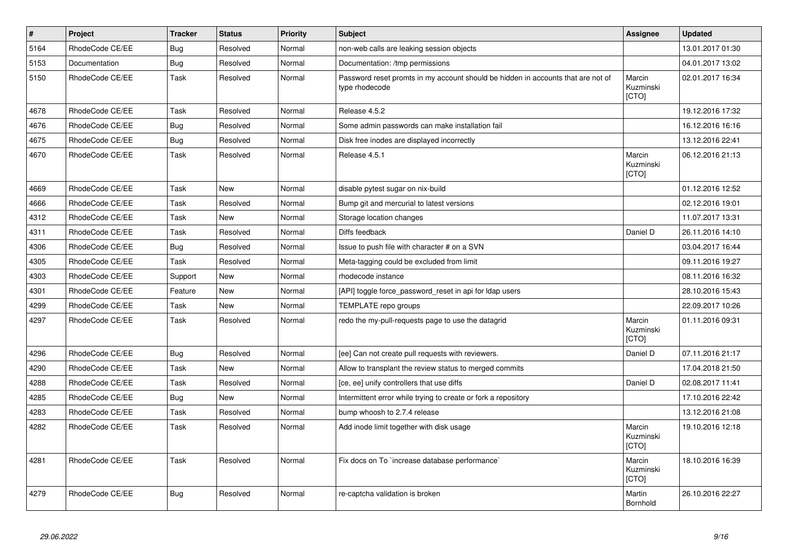| $\sharp$ | Project         | <b>Tracker</b> | <b>Status</b> | <b>Priority</b> | <b>Subject</b>                                                                                     | Assignee                     | <b>Updated</b>   |
|----------|-----------------|----------------|---------------|-----------------|----------------------------------------------------------------------------------------------------|------------------------------|------------------|
| 5164     | RhodeCode CE/EE | Bug            | Resolved      | Normal          | non-web calls are leaking session objects                                                          |                              | 13.01.2017 01:30 |
| 5153     | Documentation   | Bug            | Resolved      | Normal          | Documentation: /tmp permissions                                                                    |                              | 04.01.2017 13:02 |
| 5150     | RhodeCode CE/EE | Task           | Resolved      | Normal          | Password reset promts in my account should be hidden in accounts that are not of<br>type rhodecode | Marcin<br>Kuzminski<br>[CTO] | 02.01.2017 16:34 |
| 4678     | RhodeCode CE/EE | Task           | Resolved      | Normal          | Release 4.5.2                                                                                      |                              | 19.12.2016 17:32 |
| 4676     | RhodeCode CE/EE | Bug            | Resolved      | Normal          | Some admin passwords can make installation fail                                                    |                              | 16.12.2016 16:16 |
| 4675     | RhodeCode CE/EE | Bug            | Resolved      | Normal          | Disk free inodes are displayed incorrectly                                                         |                              | 13.12.2016 22:41 |
| 4670     | RhodeCode CE/EE | Task           | Resolved      | Normal          | Release 4.5.1                                                                                      | Marcin<br>Kuzminski<br>[CTO] | 06.12.2016 21:13 |
| 4669     | RhodeCode CE/EE | Task           | <b>New</b>    | Normal          | disable pytest sugar on nix-build                                                                  |                              | 01.12.2016 12:52 |
| 4666     | RhodeCode CE/EE | Task           | Resolved      | Normal          | Bump git and mercurial to latest versions                                                          |                              | 02.12.2016 19:01 |
| 4312     | RhodeCode CE/EE | Task           | New           | Normal          | Storage location changes                                                                           |                              | 11.07.2017 13:31 |
| 4311     | RhodeCode CE/EE | Task           | Resolved      | Normal          | Diffs feedback                                                                                     | Daniel D                     | 26.11.2016 14:10 |
| 4306     | RhodeCode CE/EE | Bug            | Resolved      | Normal          | Issue to push file with character # on a SVN                                                       |                              | 03.04.2017 16:44 |
| 4305     | RhodeCode CE/EE | Task           | Resolved      | Normal          | Meta-tagging could be excluded from limit                                                          |                              | 09.11.2016 19:27 |
| 4303     | RhodeCode CE/EE | Support        | <b>New</b>    | Normal          | rhodecode instance                                                                                 |                              | 08.11.2016 16:32 |
| 4301     | RhodeCode CE/EE | Feature        | New           | Normal          | [API] toggle force_password_reset in api for Idap users                                            |                              | 28.10.2016 15:43 |
| 4299     | RhodeCode CE/EE | Task           | New           | Normal          | TEMPLATE repo groups                                                                               |                              | 22.09.2017 10:26 |
| 4297     | RhodeCode CE/EE | Task           | Resolved      | Normal          | redo the my-pull-requests page to use the datagrid                                                 | Marcin<br>Kuzminski<br>[CTO] | 01.11.2016 09:31 |
| 4296     | RhodeCode CE/EE | <b>Bug</b>     | Resolved      | Normal          | [ee] Can not create pull requests with reviewers.                                                  | Daniel D                     | 07.11.2016 21:17 |
| 4290     | RhodeCode CE/EE | Task           | <b>New</b>    | Normal          | Allow to transplant the review status to merged commits                                            |                              | 17.04.2018 21:50 |
| 4288     | RhodeCode CE/EE | Task           | Resolved      | Normal          | [ce, ee] unify controllers that use diffs                                                          | Daniel D                     | 02.08.2017 11:41 |
| 4285     | RhodeCode CE/EE | Bug            | <b>New</b>    | Normal          | Intermittent error while trying to create or fork a repository                                     |                              | 17.10.2016 22:42 |
| 4283     | RhodeCode CE/EE | Task           | Resolved      | Normal          | bump whoosh to 2.7.4 release                                                                       |                              | 13.12.2016 21:08 |
| 4282     | RhodeCode CE/EE | Task           | Resolved      | Normal          | Add inode limit together with disk usage                                                           | Marcin<br>Kuzminski<br>[CTO] | 19.10.2016 12:18 |
| 4281     | RhodeCode CE/EE | Task           | Resolved      | Normal          | Fix docs on To `increase database performance`                                                     | Marcin<br>Kuzminski<br>[CTO] | 18.10.2016 16:39 |
| 4279     | RhodeCode CE/EE | Bug            | Resolved      | Normal          | re-captcha validation is broken                                                                    | Martin<br>Bornhold           | 26.10.2016 22:27 |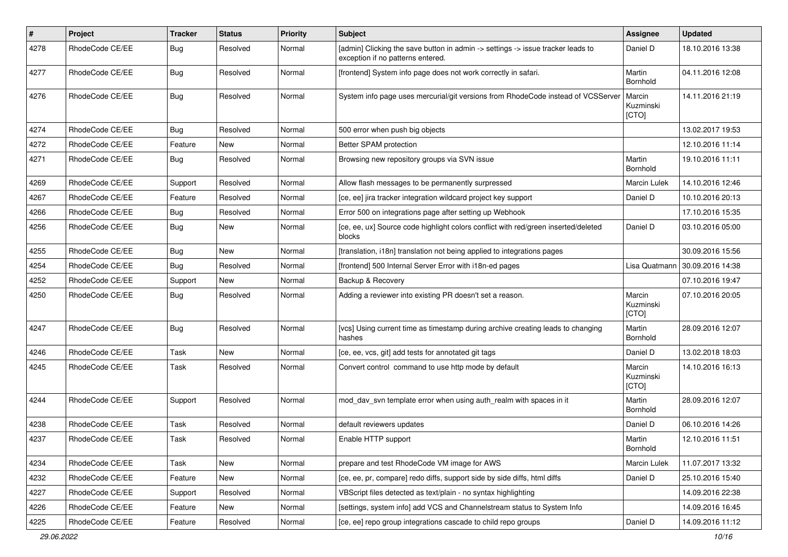| $\pmb{\#}$ | Project         | <b>Tracker</b> | <b>Status</b> | <b>Priority</b> | <b>Subject</b>                                                                                                       | <b>Assignee</b>              | <b>Updated</b>   |
|------------|-----------------|----------------|---------------|-----------------|----------------------------------------------------------------------------------------------------------------------|------------------------------|------------------|
| 4278       | RhodeCode CE/EE | Bug            | Resolved      | Normal          | [admin] Clicking the save button in admin -> settings -> issue tracker leads to<br>exception if no patterns entered. | Daniel D                     | 18.10.2016 13:38 |
| 4277       | RhodeCode CE/EE | Bug            | Resolved      | Normal          | [frontend] System info page does not work correctly in safari.                                                       | Martin<br>Bornhold           | 04.11.2016 12:08 |
| 4276       | RhodeCode CE/EE | Bug            | Resolved      | Normal          | System info page uses mercurial/git versions from RhodeCode instead of VCSServer                                     | Marcin<br>Kuzminski<br>[CTO] | 14.11.2016 21:19 |
| 4274       | RhodeCode CE/EE | Bug            | Resolved      | Normal          | 500 error when push big objects                                                                                      |                              | 13.02.2017 19:53 |
| 4272       | RhodeCode CE/EE | Feature        | New           | Normal          | Better SPAM protection                                                                                               |                              | 12.10.2016 11:14 |
| 4271       | RhodeCode CE/EE | Bug            | Resolved      | Normal          | Browsing new repository groups via SVN issue                                                                         | Martin<br>Bornhold           | 19.10.2016 11:11 |
| 4269       | RhodeCode CE/EE | Support        | Resolved      | Normal          | Allow flash messages to be permanently surpressed                                                                    | Marcin Lulek                 | 14.10.2016 12:46 |
| 4267       | RhodeCode CE/EE | Feature        | Resolved      | Normal          | [ce, ee] jira tracker integration wildcard project key support                                                       | Daniel D                     | 10.10.2016 20:13 |
| 4266       | RhodeCode CE/EE | Bug            | Resolved      | Normal          | Error 500 on integrations page after setting up Webhook                                                              |                              | 17.10.2016 15:35 |
| 4256       | RhodeCode CE/EE | Bug            | New           | Normal          | [ce, ee, ux] Source code highlight colors conflict with red/green inserted/deleted<br>blocks                         | Daniel D                     | 03.10.2016 05:00 |
| 4255       | RhodeCode CE/EE | <b>Bug</b>     | <b>New</b>    | Normal          | [translation, i18n] translation not being applied to integrations pages                                              |                              | 30.09.2016 15:56 |
| 4254       | RhodeCode CE/EE | Bug            | Resolved      | Normal          | [frontend] 500 Internal Server Error with i18n-ed pages                                                              | Lisa Quatmann                | 30.09.2016 14:38 |
| 4252       | RhodeCode CE/EE | Support        | New           | Normal          | Backup & Recovery                                                                                                    |                              | 07.10.2016 19:47 |
| 4250       | RhodeCode CE/EE | Bug            | Resolved      | Normal          | Adding a reviewer into existing PR doesn't set a reason.                                                             | Marcin<br>Kuzminski<br>[CTO] | 07.10.2016 20:05 |
| 4247       | RhodeCode CE/EE | Bug            | Resolved      | Normal          | [vcs] Using current time as timestamp during archive creating leads to changing<br>hashes                            | Martin<br>Bornhold           | 28.09.2016 12:07 |
| 4246       | RhodeCode CE/EE | Task           | New           | Normal          | [ce, ee, vcs, git] add tests for annotated git tags                                                                  | Daniel D                     | 13.02.2018 18:03 |
| 4245       | RhodeCode CE/EE | Task           | Resolved      | Normal          | Convert control command to use http mode by default                                                                  | Marcin<br>Kuzminski<br>[CTO] | 14.10.2016 16:13 |
| 4244       | RhodeCode CE/EE | Support        | Resolved      | Normal          | mod day syn template error when using auth realm with spaces in it                                                   | Martin<br>Bornhold           | 28.09.2016 12:07 |
| 4238       | RhodeCode CE/EE | Task           | Resolved      | Normal          | default reviewers updates                                                                                            | Daniel D                     | 06.10.2016 14:26 |
| 4237       | RhodeCode CE/EE | Task           | Resolved      | Normal          | Enable HTTP support                                                                                                  | Martin<br>Bornhold           | 12.10.2016 11:51 |
| 4234       | RhodeCode CE/EE | Task           | New           | Normal          | prepare and test RhodeCode VM image for AWS                                                                          | Marcin Lulek                 | 11.07.2017 13:32 |
| 4232       | RhodeCode CE/EE | Feature        | New           | Normal          | [ce, ee, pr, compare] redo diffs, support side by side diffs, html diffs                                             | Daniel D                     | 25.10.2016 15:40 |
| 4227       | RhodeCode CE/EE | Support        | Resolved      | Normal          | VBScript files detected as text/plain - no syntax highlighting                                                       |                              | 14.09.2016 22:38 |
| 4226       | RhodeCode CE/EE | Feature        | New           | Normal          | [settings, system info] add VCS and Channelstream status to System Info                                              |                              | 14.09.2016 16:45 |
| 4225       | RhodeCode CE/EE | Feature        | Resolved      | Normal          | [ce, ee] repo group integrations cascade to child repo groups                                                        | Daniel D                     | 14.09.2016 11:12 |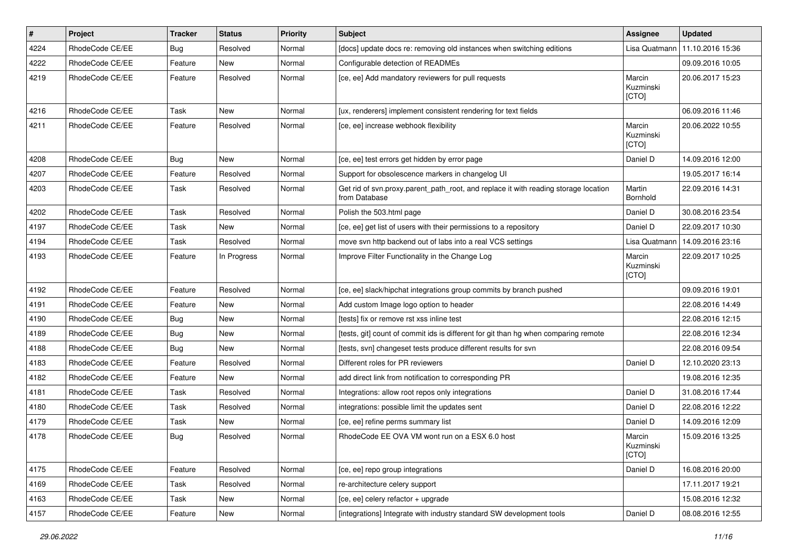| $\vert$ # | Project         | <b>Tracker</b> | <b>Status</b> | <b>Priority</b> | Subject                                                                                              | <b>Assignee</b>              | <b>Updated</b>   |
|-----------|-----------------|----------------|---------------|-----------------|------------------------------------------------------------------------------------------------------|------------------------------|------------------|
| 4224      | RhodeCode CE/EE | Bug            | Resolved      | Normal          | [docs] update docs re: removing old instances when switching editions                                | Lisa Quatmann                | 11.10.2016 15:36 |
| 4222      | RhodeCode CE/EE | Feature        | <b>New</b>    | Normal          | Configurable detection of READMEs                                                                    |                              | 09.09.2016 10:05 |
| 4219      | RhodeCode CE/EE | Feature        | Resolved      | Normal          | [ce, ee] Add mandatory reviewers for pull requests                                                   | Marcin<br>Kuzminski<br>[CTO] | 20.06.2017 15:23 |
| 4216      | RhodeCode CE/EE | Task           | <b>New</b>    | Normal          | [ux, renderers] implement consistent rendering for text fields                                       |                              | 06.09.2016 11:46 |
| 4211      | RhodeCode CE/EE | Feature        | Resolved      | Normal          | [ce, ee] increase webhook flexibility                                                                | Marcin<br>Kuzminski<br>[CTO] | 20.06.2022 10:55 |
| 4208      | RhodeCode CE/EE | Bug            | <b>New</b>    | Normal          | [ce, ee] test errors get hidden by error page                                                        | Daniel D                     | 14.09.2016 12:00 |
| 4207      | RhodeCode CE/EE | Feature        | Resolved      | Normal          | Support for obsolescence markers in changelog UI                                                     |                              | 19.05.2017 16:14 |
| 4203      | RhodeCode CE/EE | Task           | Resolved      | Normal          | Get rid of svn.proxy.parent_path_root, and replace it with reading storage location<br>from Database | Martin<br>Bornhold           | 22.09.2016 14:31 |
| 4202      | RhodeCode CE/EE | Task           | Resolved      | Normal          | Polish the 503.html page                                                                             | Daniel D                     | 30.08.2016 23:54 |
| 4197      | RhodeCode CE/EE | Task           | New           | Normal          | [ce, ee] get list of users with their permissions to a repository                                    | Daniel D                     | 22.09.2017 10:30 |
| 4194      | RhodeCode CE/EE | Task           | Resolved      | Normal          | move svn http backend out of labs into a real VCS settings                                           | Lisa Quatmann                | 14.09.2016 23:16 |
| 4193      | RhodeCode CE/EE | Feature        | In Progress   | Normal          | Improve Filter Functionality in the Change Log                                                       | Marcin<br>Kuzminski<br>[CTO] | 22.09.2017 10:25 |
| 4192      | RhodeCode CE/EE | Feature        | Resolved      | Normal          | [ce, ee] slack/hipchat integrations group commits by branch pushed                                   |                              | 09.09.2016 19:01 |
| 4191      | RhodeCode CE/EE | Feature        | <b>New</b>    | Normal          | Add custom Image logo option to header                                                               |                              | 22.08.2016 14:49 |
| 4190      | RhodeCode CE/EE | <b>Bug</b>     | New           | Normal          | [tests] fix or remove rst xss inline test                                                            |                              | 22.08.2016 12:15 |
| 4189      | RhodeCode CE/EE | Bug            | New           | Normal          | [tests, git] count of commit ids is different for git than hg when comparing remote                  |                              | 22.08.2016 12:34 |
| 4188      | RhodeCode CE/EE | Bug            | <b>New</b>    | Normal          | [tests, svn] changeset tests produce different results for svn                                       |                              | 22.08.2016 09:54 |
| 4183      | RhodeCode CE/EE | Feature        | Resolved      | Normal          | Different roles for PR reviewers                                                                     | Daniel D                     | 12.10.2020 23:13 |
| 4182      | RhodeCode CE/EE | Feature        | <b>New</b>    | Normal          | add direct link from notification to corresponding PR                                                |                              | 19.08.2016 12:35 |
| 4181      | RhodeCode CE/EE | Task           | Resolved      | Normal          | Integrations: allow root repos only integrations                                                     | Daniel D                     | 31.08.2016 17:44 |
| 4180      | RhodeCode CE/EE | Task           | Resolved      | Normal          | integrations: possible limit the updates sent                                                        | Daniel D                     | 22.08.2016 12:22 |
| 4179      | RhodeCode CE/EE | Task           | <b>New</b>    | Normal          | [ce, ee] refine perms summary list                                                                   | Daniel D                     | 14.09.2016 12:09 |
| 4178      | RhodeCode CE/EE | Bug            | Resolved      | Normal          | RhodeCode EE OVA VM wont run on a ESX 6.0 host                                                       | Marcin<br>Kuzminski<br>[CTO] | 15.09.2016 13:25 |
| 4175      | RhodeCode CE/EE | Feature        | Resolved      | Normal          | [ce, ee] repo group integrations                                                                     | Daniel D                     | 16.08.2016 20:00 |
| 4169      | RhodeCode CE/EE | Task           | Resolved      | Normal          | re-architecture celery support                                                                       |                              | 17.11.2017 19:21 |
| 4163      | RhodeCode CE/EE | Task           | New           | Normal          | [ce, ee] celery refactor + upgrade                                                                   |                              | 15.08.2016 12:32 |
| 4157      | RhodeCode CE/EE | Feature        | New           | Normal          | [integrations] Integrate with industry standard SW development tools                                 | Daniel D                     | 08.08.2016 12:55 |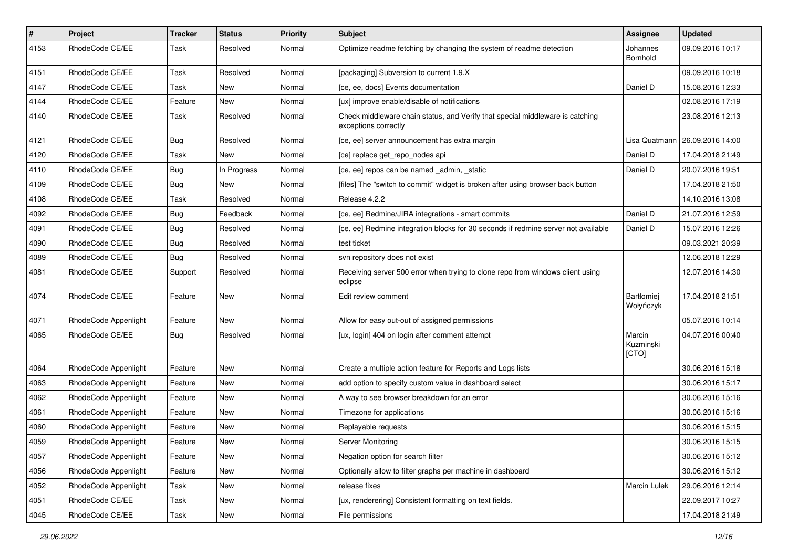| $\vert$ # | Project              | Tracker    | <b>Status</b> | <b>Priority</b> | Subject                                                                                               | <b>Assignee</b>              | <b>Updated</b>   |
|-----------|----------------------|------------|---------------|-----------------|-------------------------------------------------------------------------------------------------------|------------------------------|------------------|
| 4153      | RhodeCode CE/EE      | Task       | Resolved      | Normal          | Optimize readme fetching by changing the system of readme detection                                   | Johannes<br>Bornhold         | 09.09.2016 10:17 |
| 4151      | RhodeCode CE/EE      | Task       | Resolved      | Normal          | [packaging] Subversion to current 1.9.X                                                               |                              | 09.09.2016 10:18 |
| 4147      | RhodeCode CE/EE      | Task       | New           | Normal          | [ce, ee, docs] Events documentation                                                                   | Daniel D                     | 15.08.2016 12:33 |
| 4144      | RhodeCode CE/EE      | Feature    | <b>New</b>    | Normal          | [ux] improve enable/disable of notifications                                                          |                              | 02.08.2016 17:19 |
| 4140      | RhodeCode CE/EE      | Task       | Resolved      | Normal          | Check middleware chain status, and Verify that special middleware is catching<br>exceptions correctly |                              | 23.08.2016 12:13 |
| 4121      | RhodeCode CE/EE      | <b>Bug</b> | Resolved      | Normal          | [ce, ee] server announcement has extra margin                                                         | Lisa Quatmann                | 26.09.2016 14:00 |
| 4120      | RhodeCode CE/EE      | Task       | New           | Normal          | [ce] replace get_repo_nodes api                                                                       | Daniel D                     | 17.04.2018 21:49 |
| 4110      | RhodeCode CE/EE      | Bug        | In Progress   | Normal          | [ce, ee] repos can be named _admin, _static                                                           | Daniel D                     | 20.07.2016 19:51 |
| 4109      | RhodeCode CE/EE      | Bug        | New           | Normal          | [files] The "switch to commit" widget is broken after using browser back button                       |                              | 17.04.2018 21:50 |
| 4108      | RhodeCode CE/EE      | Task       | Resolved      | Normal          | Release 4.2.2                                                                                         |                              | 14.10.2016 13:08 |
| 4092      | RhodeCode CE/EE      | <b>Bug</b> | Feedback      | Normal          | [ce, ee] Redmine/JIRA integrations - smart commits                                                    | Daniel D                     | 21.07.2016 12:59 |
| 4091      | RhodeCode CE/EE      | <b>Bug</b> | Resolved      | Normal          | [ce, ee] Redmine integration blocks for 30 seconds if redmine server not available                    | Daniel D                     | 15.07.2016 12:26 |
| 4090      | RhodeCode CE/EE      | <b>Bug</b> | Resolved      | Normal          | test ticket                                                                                           |                              | 09.03.2021 20:39 |
| 4089      | RhodeCode CE/EE      | Bug        | Resolved      | Normal          | svn repository does not exist                                                                         |                              | 12.06.2018 12:29 |
| 4081      | RhodeCode CE/EE      | Support    | Resolved      | Normal          | Receiving server 500 error when trying to clone repo from windows client using<br>eclipse             |                              | 12.07.2016 14:30 |
| 4074      | RhodeCode CE/EE      | Feature    | New           | Normal          | Edit review comment                                                                                   | Bartłomiej<br>Wołyńczyk      | 17.04.2018 21:51 |
| 4071      | RhodeCode Appenlight | Feature    | <b>New</b>    | Normal          | Allow for easy out-out of assigned permissions                                                        |                              | 05.07.2016 10:14 |
| 4065      | RhodeCode CE/EE      | <b>Bug</b> | Resolved      | Normal          | [ux, login] 404 on login after comment attempt                                                        | Marcin<br>Kuzminski<br>[CTO] | 04.07.2016 00:40 |
| 4064      | RhodeCode Appenlight | Feature    | New           | Normal          | Create a multiple action feature for Reports and Logs lists                                           |                              | 30.06.2016 15:18 |
| 4063      | RhodeCode Appenlight | Feature    | New           | Normal          | add option to specify custom value in dashboard select                                                |                              | 30.06.2016 15:17 |
| 4062      | RhodeCode Appenlight | Feature    | New           | Normal          | A way to see browser breakdown for an error                                                           |                              | 30.06.2016 15:16 |
| 4061      | RhodeCode Appenlight | Feature    | New           | Normal          | Timezone for applications                                                                             |                              | 30.06.2016 15:16 |
| 4060      | RhodeCode Appenlight | Feature    | New           | Normal          | Replayable requests                                                                                   |                              | 30.06.2016 15:15 |
| 4059      | RhodeCode Appenlight | Feature    | New           | Normal          | Server Monitoring                                                                                     |                              | 30.06.2016 15:15 |
| 4057      | RhodeCode Appenlight | Feature    | New           | Normal          | Negation option for search filter                                                                     |                              | 30.06.2016 15:12 |
| 4056      | RhodeCode Appenlight | Feature    | New           | Normal          | Optionally allow to filter graphs per machine in dashboard                                            |                              | 30.06.2016 15:12 |
| 4052      | RhodeCode Appenlight | Task       | New           | Normal          | release fixes                                                                                         | Marcin Lulek                 | 29.06.2016 12:14 |
| 4051      | RhodeCode CE/EE      | Task       | New           | Normal          | [ux, renderering] Consistent formatting on text fields.                                               |                              | 22.09.2017 10:27 |
| 4045      | RhodeCode CE/EE      | Task       | New           | Normal          | File permissions                                                                                      |                              | 17.04.2018 21:49 |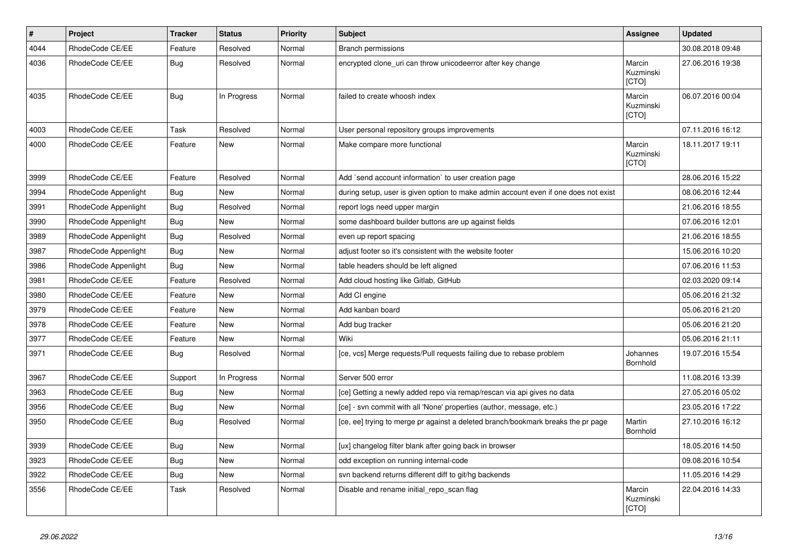| $\pmb{\#}$ | Project              | <b>Tracker</b> | <b>Status</b> | <b>Priority</b> | Subject                                                                             | Assignee                     | <b>Updated</b>   |
|------------|----------------------|----------------|---------------|-----------------|-------------------------------------------------------------------------------------|------------------------------|------------------|
| 4044       | RhodeCode CE/EE      | Feature        | Resolved      | Normal          | <b>Branch permissions</b>                                                           |                              | 30.08.2018 09:48 |
| 4036       | RhodeCode CE/EE      | Bug            | Resolved      | Normal          | encrypted clone_uri can throw unicodeerror after key change                         | Marcin<br>Kuzminski<br>[CTO] | 27.06.2016 19:38 |
| 4035       | RhodeCode CE/EE      | <b>Bug</b>     | In Progress   | Normal          | failed to create whoosh index                                                       | Marcin<br>Kuzminski<br>[CTO] | 06.07.2016 00:04 |
| 4003       | RhodeCode CE/EE      | Task           | Resolved      | Normal          | User personal repository groups improvements                                        |                              | 07.11.2016 16:12 |
| 4000       | RhodeCode CE/EE      | Feature        | New           | Normal          | Make compare more functional                                                        | Marcin<br>Kuzminski<br>[CTO] | 18.11.2017 19:11 |
| 3999       | RhodeCode CE/EE      | Feature        | Resolved      | Normal          | Add `send account information` to user creation page                                |                              | 28.06.2016 15:22 |
| 3994       | RhodeCode Appenlight | Bug            | <b>New</b>    | Normal          | during setup, user is given option to make admin account even if one does not exist |                              | 08.06.2016 12:44 |
| 3991       | RhodeCode Appenlight | Bug            | Resolved      | Normal          | report logs need upper margin                                                       |                              | 21.06.2016 18:55 |
| 3990       | RhodeCode Appenlight | Bug            | New           | Normal          | some dashboard builder buttons are up against fields                                |                              | 07.06.2016 12:01 |
| 3989       | RhodeCode Appenlight | <b>Bug</b>     | Resolved      | Normal          | even up report spacing                                                              |                              | 21.06.2016 18:55 |
| 3987       | RhodeCode Appenlight | Bug            | New           | Normal          | adjust footer so it's consistent with the website footer                            |                              | 15.06.2016 10:20 |
| 3986       | RhodeCode Appenlight | Bug            | <b>New</b>    | Normal          | table headers should be left aligned                                                |                              | 07.06.2016 11:53 |
| 3981       | RhodeCode CE/EE      | Feature        | Resolved      | Normal          | Add cloud hosting like Gitlab, GitHub                                               |                              | 02.03.2020 09:14 |
| 3980       | RhodeCode CE/EE      | Feature        | New           | Normal          | Add CI engine                                                                       |                              | 05.06.2016 21:32 |
| 3979       | RhodeCode CE/EE      | Feature        | <b>New</b>    | Normal          | Add kanban board                                                                    |                              | 05.06.2016 21:20 |
| 3978       | RhodeCode CE/EE      | Feature        | New           | Normal          | Add bug tracker                                                                     |                              | 05.06.2016 21:20 |
| 3977       | RhodeCode CE/EE      | Feature        | New           | Normal          | Wiki                                                                                |                              | 05.06.2016 21:11 |
| 3971       | RhodeCode CE/EE      | Bug            | Resolved      | Normal          | [ce, vcs] Merge requests/Pull requests failing due to rebase problem                | Johannes<br>Bornhold         | 19.07.2016 15:54 |
| 3967       | RhodeCode CE/EE      | Support        | In Progress   | Normal          | Server 500 error                                                                    |                              | 11.08.2016 13:39 |
| 3963       | RhodeCode CE/EE      | Bug            | New           | Normal          | [ce] Getting a newly added repo via remap/rescan via api gives no data              |                              | 27.05.2016 05:02 |
| 3956       | RhodeCode CE/EE      | <b>Bug</b>     | New           | Normal          | [ce] - svn commit with all 'None' properties (author, message, etc.)                |                              | 23.05.2016 17:22 |
| 3950       | RhodeCode CE/EE      | Bug            | Resolved      | Normal          | [ce, ee] trying to merge pr against a deleted branch/bookmark breaks the pr page    | Martin<br>Bornhold           | 27.10.2016 16:12 |
| 3939       | RhodeCode CE/EE      | <b>Bug</b>     | New           | Normal          | [ux] changelog filter blank after going back in browser                             |                              | 18.05.2016 14:50 |
| 3923       | RhodeCode CE/EE      | Bug            | New           | Normal          | odd exception on running internal-code                                              |                              | 09.08.2016 10:54 |
| 3922       | RhodeCode CE/EE      | Bug            | New           | Normal          | svn backend returns different diff to git/hg backends                               |                              | 11.05.2016 14:29 |
| 3556       | RhodeCode CE/EE      | Task           | Resolved      | Normal          | Disable and rename initial_repo_scan flag                                           | Marcin<br>Kuzminski<br>[CTO] | 22.04.2016 14:33 |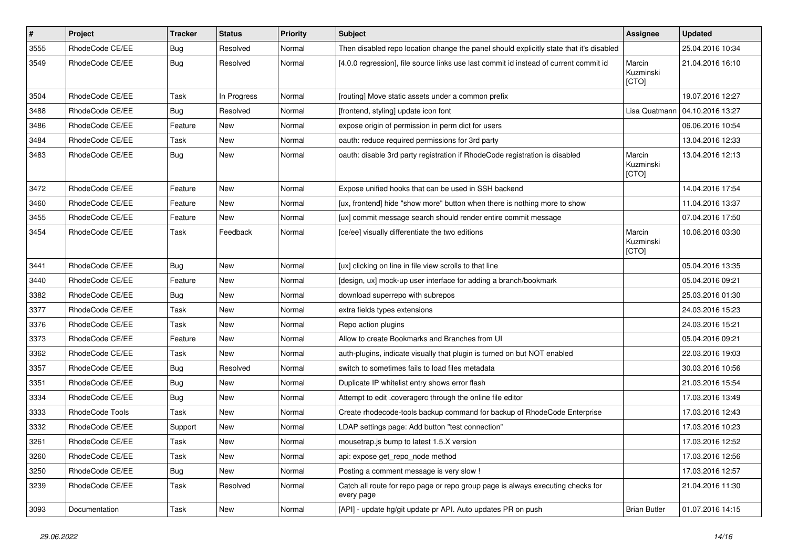| $\vert$ # | Project         | <b>Tracker</b> | <b>Status</b> | <b>Priority</b> | <b>Subject</b>                                                                                | Assignee                     | <b>Updated</b>   |
|-----------|-----------------|----------------|---------------|-----------------|-----------------------------------------------------------------------------------------------|------------------------------|------------------|
| 3555      | RhodeCode CE/EE | <b>Bug</b>     | Resolved      | Normal          | Then disabled repo location change the panel should explicitly state that it's disabled       |                              | 25.04.2016 10:34 |
| 3549      | RhodeCode CE/EE | Bug            | Resolved      | Normal          | [4.0.0 regression], file source links use last commit id instead of current commit id         | Marcin<br>Kuzminski<br>[CTO] | 21.04.2016 16:10 |
| 3504      | RhodeCode CE/EE | Task           | In Progress   | Normal          | [routing] Move static assets under a common prefix                                            |                              | 19.07.2016 12:27 |
| 3488      | RhodeCode CE/EE | Bug            | Resolved      | Normal          | [frontend, styling] update icon font                                                          | Lisa Quatmann                | 04.10.2016 13:27 |
| 3486      | RhodeCode CE/EE | Feature        | New           | Normal          | expose origin of permission in perm dict for users                                            |                              | 06.06.2016 10:54 |
| 3484      | RhodeCode CE/EE | Task           | New           | Normal          | oauth: reduce required permissions for 3rd party                                              |                              | 13.04.2016 12:33 |
| 3483      | RhodeCode CE/EE | Bug            | New           | Normal          | oauth: disable 3rd party registration if RhodeCode registration is disabled                   | Marcin<br>Kuzminski<br>[CTO] | 13.04.2016 12:13 |
| 3472      | RhodeCode CE/EE | Feature        | <b>New</b>    | Normal          | Expose unified hooks that can be used in SSH backend                                          |                              | 14.04.2016 17:54 |
| 3460      | RhodeCode CE/EE | Feature        | <b>New</b>    | Normal          | [ux, frontend] hide "show more" button when there is nothing more to show                     |                              | 11.04.2016 13:37 |
| 3455      | RhodeCode CE/EE | Feature        | New           | Normal          | [ux] commit message search should render entire commit message                                |                              | 07.04.2016 17:50 |
| 3454      | RhodeCode CE/EE | Task           | Feedback      | Normal          | [ce/ee] visually differentiate the two editions                                               | Marcin<br>Kuzminski<br>[CTO] | 10.08.2016 03:30 |
| 3441      | RhodeCode CE/EE | Bug            | <b>New</b>    | Normal          | [ux] clicking on line in file view scrolls to that line                                       |                              | 05.04.2016 13:35 |
| 3440      | RhodeCode CE/EE | Feature        | New           | Normal          | [design, ux] mock-up user interface for adding a branch/bookmark                              |                              | 05.04.2016 09:21 |
| 3382      | RhodeCode CE/EE | <b>Bug</b>     | New           | Normal          | download superrepo with subrepos                                                              |                              | 25.03.2016 01:30 |
| 3377      | RhodeCode CE/EE | Task           | New           | Normal          | extra fields types extensions                                                                 |                              | 24.03.2016 15:23 |
| 3376      | RhodeCode CE/EE | Task           | New           | Normal          | Repo action plugins                                                                           |                              | 24.03.2016 15:21 |
| 3373      | RhodeCode CE/EE | Feature        | New           | Normal          | Allow to create Bookmarks and Branches from UI                                                |                              | 05.04.2016 09:21 |
| 3362      | RhodeCode CE/EE | Task           | New           | Normal          | auth-plugins, indicate visually that plugin is turned on but NOT enabled                      |                              | 22.03.2016 19:03 |
| 3357      | RhodeCode CE/EE | Bug            | Resolved      | Normal          | switch to sometimes fails to load files metadata                                              |                              | 30.03.2016 10:56 |
| 3351      | RhodeCode CE/EE | <b>Bug</b>     | New           | Normal          | Duplicate IP whitelist entry shows error flash                                                |                              | 21.03.2016 15:54 |
| 3334      | RhodeCode CE/EE | Bug            | New           | Normal          | Attempt to edit .coveragerc through the online file editor                                    |                              | 17.03.2016 13:49 |
| 3333      | RhodeCode Tools | Task           | New           | Normal          | Create rhodecode-tools backup command for backup of RhodeCode Enterprise                      |                              | 17.03.2016 12:43 |
| 3332      | RhodeCode CE/EE | Support        | <b>New</b>    | Normal          | LDAP settings page: Add button "test connection"                                              |                              | 17.03.2016 10:23 |
| 3261      | RhodeCode CE/EE | Task           | New           | Normal          | mousetrap.js bump to latest 1.5.X version                                                     |                              | 17.03.2016 12:52 |
| 3260      | RhodeCode CE/EE | Task           | New           | Normal          | api: expose get_repo_node method                                                              |                              | 17.03.2016 12:56 |
| 3250      | RhodeCode CE/EE | <b>Bug</b>     | New           | Normal          | Posting a comment message is very slow !                                                      |                              | 17.03.2016 12:57 |
| 3239      | RhodeCode CE/EE | Task           | Resolved      | Normal          | Catch all route for repo page or repo group page is always executing checks for<br>every page |                              | 21.04.2016 11:30 |
| 3093      | Documentation   | Task           | New           | Normal          | [API] - update hg/git update pr API. Auto updates PR on push                                  | <b>Brian Butler</b>          | 01.07.2016 14:15 |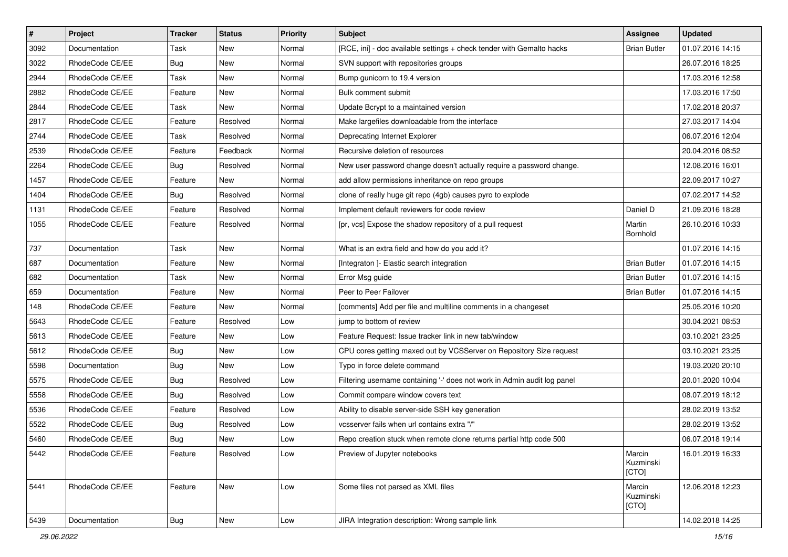| $\pmb{\#}$ | Project         | <b>Tracker</b> | <b>Status</b> | <b>Priority</b> | <b>Subject</b>                                                           | <b>Assignee</b>              | <b>Updated</b>   |
|------------|-----------------|----------------|---------------|-----------------|--------------------------------------------------------------------------|------------------------------|------------------|
| 3092       | Documentation   | Task           | New           | Normal          | [RCE, ini] - doc available settings + check tender with Gemalto hacks    | <b>Brian Butler</b>          | 01.07.2016 14:15 |
| 3022       | RhodeCode CE/EE | Bug            | <b>New</b>    | Normal          | SVN support with repositories groups                                     |                              | 26.07.2016 18:25 |
| 2944       | RhodeCode CE/EE | Task           | New           | Normal          | Bump gunicorn to 19.4 version                                            |                              | 17.03.2016 12:58 |
| 2882       | RhodeCode CE/EE | Feature        | New           | Normal          | Bulk comment submit                                                      |                              | 17.03.2016 17:50 |
| 2844       | RhodeCode CE/EE | Task           | <b>New</b>    | Normal          | Update Bcrypt to a maintained version                                    |                              | 17.02.2018 20:37 |
| 2817       | RhodeCode CE/EE | Feature        | Resolved      | Normal          | Make largefiles downloadable from the interface                          |                              | 27.03.2017 14:04 |
| 2744       | RhodeCode CE/EE | Task           | Resolved      | Normal          | Deprecating Internet Explorer                                            |                              | 06.07.2016 12:04 |
| 2539       | RhodeCode CE/EE | Feature        | Feedback      | Normal          | Recursive deletion of resources                                          |                              | 20.04.2016 08:52 |
| 2264       | RhodeCode CE/EE | Bug            | Resolved      | Normal          | New user password change doesn't actually require a password change.     |                              | 12.08.2016 16:01 |
| 1457       | RhodeCode CE/EE | Feature        | New           | Normal          | add allow permissions inheritance on repo groups                         |                              | 22.09.2017 10:27 |
| 1404       | RhodeCode CE/EE | Bug            | Resolved      | Normal          | clone of really huge git repo (4gb) causes pyro to explode               |                              | 07.02.2017 14:52 |
| 1131       | RhodeCode CE/EE | Feature        | Resolved      | Normal          | Implement default reviewers for code review                              | Daniel D                     | 21.09.2016 18:28 |
| 1055       | RhodeCode CE/EE | Feature        | Resolved      | Normal          | [pr, vcs] Expose the shadow repository of a pull request                 | Martin<br>Bornhold           | 26.10.2016 10:33 |
| 737        | Documentation   | Task           | New           | Normal          | What is an extra field and how do you add it?                            |                              | 01.07.2016 14:15 |
| 687        | Documentation   | Feature        | <b>New</b>    | Normal          | [Integraton ]- Elastic search integration                                | <b>Brian Butler</b>          | 01.07.2016 14:15 |
| 682        | Documentation   | Task           | New           | Normal          | Error Msg guide                                                          | <b>Brian Butler</b>          | 01.07.2016 14:15 |
| 659        | Documentation   | Feature        | <b>New</b>    | Normal          | Peer to Peer Failover                                                    | <b>Brian Butler</b>          | 01.07.2016 14:15 |
| 148        | RhodeCode CE/EE | Feature        | New           | Normal          | [comments] Add per file and multiline comments in a changeset            |                              | 25.05.2016 10:20 |
| 5643       | RhodeCode CE/EE | Feature        | Resolved      | Low             | jump to bottom of review                                                 |                              | 30.04.2021 08:53 |
| 5613       | RhodeCode CE/EE | Feature        | <b>New</b>    | Low             | Feature Request: Issue tracker link in new tab/window                    |                              | 03.10.2021 23:25 |
| 5612       | RhodeCode CE/EE | Bug            | New           | Low             | CPU cores getting maxed out by VCSServer on Repository Size request      |                              | 03.10.2021 23:25 |
| 5598       | Documentation   | Bug            | <b>New</b>    | Low             | Typo in force delete command                                             |                              | 19.03.2020 20:10 |
| 5575       | RhodeCode CE/EE | Bug            | Resolved      | Low             | Filtering username containing '-' does not work in Admin audit log panel |                              | 20.01.2020 10:04 |
| 5558       | RhodeCode CE/EE | Bug            | Resolved      | Low             | Commit compare window covers text                                        |                              | 08.07.2019 18:12 |
| 5536       | RhodeCode CE/EE | Feature        | Resolved      | Low             | Ability to disable server-side SSH key generation                        |                              | 28.02.2019 13:52 |
| 5522       | RhodeCode CE/EE | Bug            | Resolved      | Low             | vcsserver fails when url contains extra "/"                              |                              | 28.02.2019 13:52 |
| 5460       | RhodeCode CE/EE | <b>Bug</b>     | New           | Low             | Repo creation stuck when remote clone returns partial http code 500      |                              | 06.07.2018 19:14 |
| 5442       | RhodeCode CE/EE | Feature        | Resolved      | Low             | Preview of Jupyter notebooks                                             | Marcin<br>Kuzminski<br>[CTO] | 16.01.2019 16:33 |
| 5441       | RhodeCode CE/EE | Feature        | New           | Low             | Some files not parsed as XML files                                       | Marcin<br>Kuzminski<br>[CTO] | 12.06.2018 12:23 |
| 5439       | Documentation   | Bug            | New           | Low             | JIRA Integration description: Wrong sample link                          |                              | 14.02.2018 14:25 |